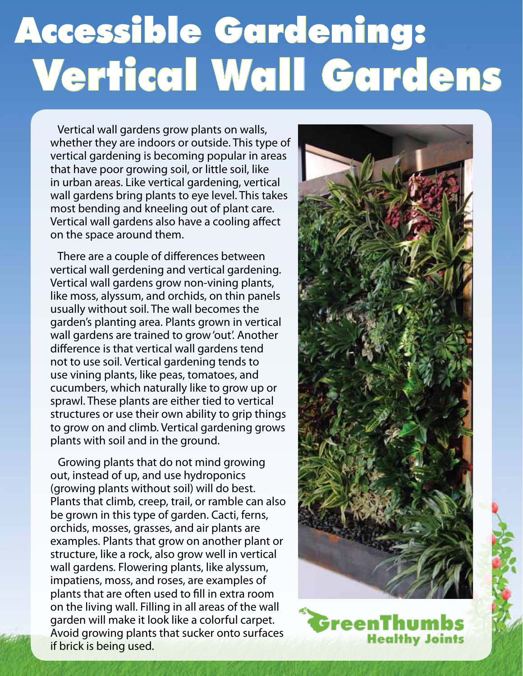## Accessible Gardening: Vertical Wall Gardens

 Vertical wall gardens grow plants on walls, whether they are indoors or outside. This type of vertical gardening is becoming popular in areas that have poor growing soil, or little soil, like in urban areas. Like vertical gardening, vertical wall gardens bring plants to eye level. This takes most bending and kneeling out of plant care. Vertical wall gardens also have a cooling affect on the space around them.

 There are a couple of differences between vertical wall gerdening and vertical gardening. Vertical wall gardens grow non-vining plants, like moss, alyssum, and orchids, on thin panels usually without soil. The wall becomes the garden's planting area. Plants grown in vertical wall gardens are trained to grow 'out'. Another difference is that vertical wall gardens tend not to use soil. Vertical gardening tends to use vining plants, like peas, tomatoes, and cucumbers, which naturally like to grow up or sprawl. These plants are either tied to vertical structures or use their own ability to grip things to grow on and climb. Vertical gardening grows plants with soil and in the ground.

 Growing plants that do not mind growing out, instead of up, and use hydroponics (growing plants without soil) will do best. Plants that climb, creep, trail, or ramble can also be grown in this type of garden. Cacti, ferns, orchids, mosses, grasses, and air plants are examples. Plants that grow on another plant or structure, like a rock, also grow well in vertical wall gardens. Flowering plants, like alyssum, impatiens, moss, and roses, are examples of plants that are often used to fill in extra room on the living wall. Filling in all areas of the wall garden will make it look like a colorful carpet. Avoid growing plants that sucker onto surfaces if brick is being used.



GreenThumbs **Healthy Joints**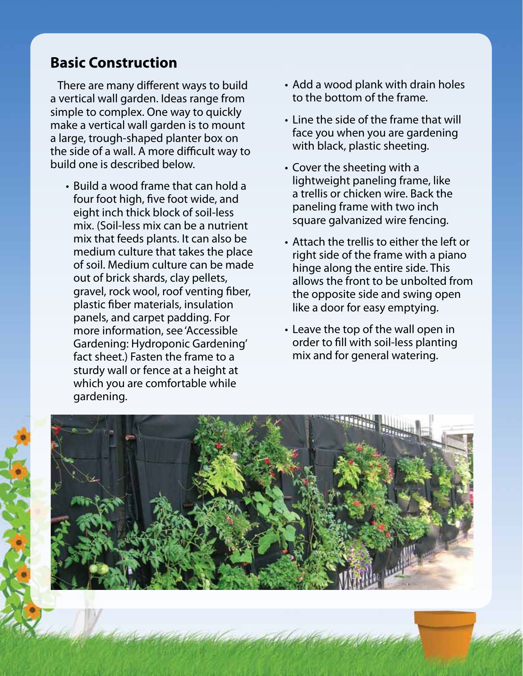## **Basic Construction**

 There are many different ways to build a vertical wall garden. Ideas range from simple to complex. One way to quickly make a vertical wall garden is to mount a large, trough-shaped planter box on the side of a wall. A more difficult way to build one is described below.

• Build a wood frame that can hold a four foot high, five foot wide, and eight inch thick block of soil-less mix. (Soil-less mix can be a nutrient mix that feeds plants. It can also be medium culture that takes the place of soil. Medium culture can be made out of brick shards, clay pellets, gravel, rock wool, roof venting fiber, plastic fiber materials, insulation panels, and carpet padding. For more information, see 'Accessible Gardening: Hydroponic Gardening' fact sheet.) Fasten the frame to a sturdy wall or fence at a height at which you are comfortable while gardening.

- Add a wood plank with drain holes to the bottom of the frame.
- Line the side of the frame that will face you when you are gardening with black, plastic sheeting.
- Cover the sheeting with a lightweight paneling frame, like a trellis or chicken wire. Back the paneling frame with two inch square galvanized wire fencing.
- Attach the trellis to either the left or right side of the frame with a piano hinge along the entire side. This allows the front to be unbolted from the opposite side and swing open like a door for easy emptying.
- Leave the top of the wall open in order to fill with soil-less planting mix and for general watering.

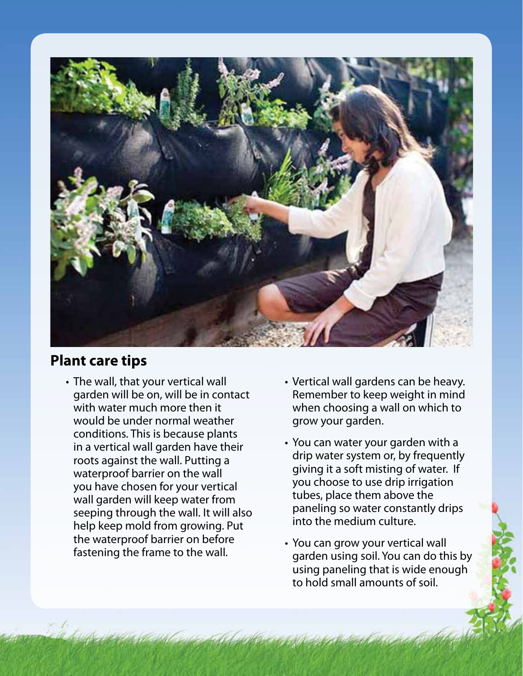

## **Plant care tips**

- The wall, that your vertical wall Vertical wall gardens can be heavy. with water much more then it when choosing a wall on which to would be under normal weather grow your garden. conditions. This is because plants<br>
in a vertical wall garden have their<br>
roots against the wall. Putting a<br>
waterproof barrier on the wall<br>
you have chosen for your vertical<br>
you choose to use drip irrigation<br>
you choose the waterproof barrier on before • You can grow your vertical wall<br>fastening the frame to the wall. garden using soil. You can do this by
	- garden will be on, will be in contact Remember to keep weight in mind
		-
		- using paneling that is wide enough to hold small amounts of soil.